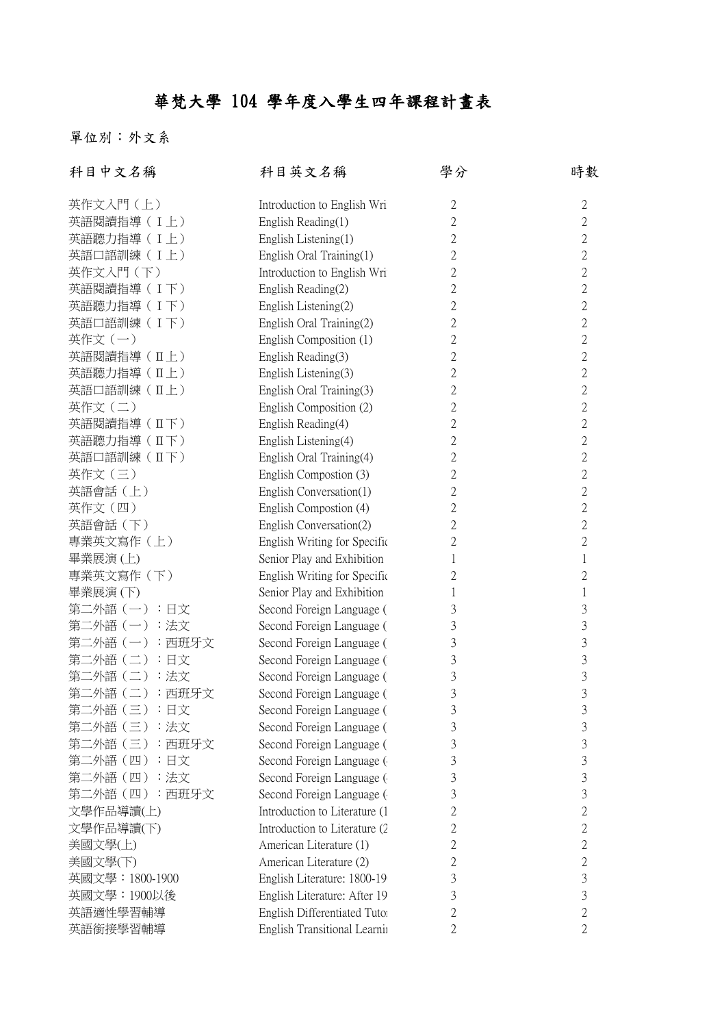## 華梵大學 104 學年度入學生四年課程計畫表

單位別:外文系

| 科目中文名稱          | 科目英文名稱                        | 學分             | 時數             |
|-----------------|-------------------------------|----------------|----------------|
| 英作文入門 (上)       | Introduction to English Wri   | $\sqrt{2}$     | $\overline{c}$ |
| 英語閱讀指導 (I上)     | English Reading(1)            | $\overline{2}$ | $\overline{2}$ |
| 英語聽力指導 (I上)     | English Listening(1)          | $\overline{2}$ | $\overline{2}$ |
| 英語口語訓練(I上)      | English Oral Training(1)      | $\overline{2}$ | $\overline{2}$ |
| 英作文入門 (下)       | Introduction to English Wri   | $\overline{2}$ | $\overline{c}$ |
| 英語閱讀指導(I下)      | English Reading(2)            | $\overline{2}$ | $\overline{2}$ |
| 英語聽力指導 (I 下)    | English Listening(2)          | $\overline{2}$ | $\overline{2}$ |
| 英語口語訓練 (I下)     | English Oral Training(2)      | $\overline{2}$ | 2              |
| 英作文(一)          | English Composition (1)       | $\overline{2}$ | $\overline{2}$ |
| 英語閱讀指導 (IL上)    | English Reading(3)            | $\overline{2}$ | $\overline{c}$ |
| 英語聽力指導 (IL上)    | English Listening(3)          | $\overline{2}$ | $\overline{2}$ |
| 英語口語訓練 (IL上)    | English Oral Training(3)      | $\overline{2}$ | $\overline{2}$ |
| 英作文(二)          | English Composition (2)       | $\overline{2}$ | $\overline{2}$ |
| 英語閱讀指導 (IT下)    | English Reading(4)            | $\overline{2}$ | $\overline{2}$ |
| 英語聽力指導 (II下)    | English Listening(4)          | $\overline{2}$ | $\overline{2}$ |
| 英語口語訓練 (IT下)    | English Oral Training(4)      | $\mathbf{2}$   | $\overline{2}$ |
| 英作文(三)          | English Compostion (3)        | $\overline{2}$ | $\overline{2}$ |
| 英語會話 (上)        | English Conversation(1)       | $\overline{2}$ | 2              |
| 英作文(四)          | English Compostion (4)        | $\overline{2}$ | $\overline{2}$ |
| 英語會話 (下)        | English Conversation(2)       | $\overline{2}$ | $\overline{2}$ |
| 專業英文寫作 (上)      | English Writing for Specific  | $\overline{2}$ | $\overline{2}$ |
| 畢業展演(上)         | Senior Play and Exhibition    | 1              | 1              |
| 專業英文寫作 (下)      | English Writing for Specific  | 2              | $\overline{2}$ |
| 畢業展演(下)         | Senior Play and Exhibition    | 1              | 1              |
| 第二外語(一):日文      | Second Foreign Language (     | 3              | 3              |
| 第二外語 (一):法文     | Second Foreign Language (     | 3              | 3              |
| 第二外語 (一):西班牙文   | Second Foreign Language (     | 3              | 3              |
| 第二外語(二):日文      | Second Foreign Language (     | 3              | 3              |
| 第二外語(二):法文      | Second Foreign Language (     | $\mathfrak{Z}$ | $\mathfrak{Z}$ |
| 第二外語 (二):西班牙文   | Second Foreign Language (     | 3              | 3              |
| 第二外語 (三):日文     | Second Foreign Language (     | 3              | 3              |
| 第二外語(三):法文      | Second Foreign Language (     | 3              | 3              |
| 第二外語 (三):西班牙文   | Second Foreign Language (     | 3              | 3              |
| 第二外語(四)<br>∴ 日文 | Second Foreign Language (     | 3              | 3              |
| 第二外語 (四):法文     | Second Foreign Language (     | 3              | 3              |
| 第二外語 (四) :西班牙文  | Second Foreign Language (     | 3              | 3              |
| 文學作品導讀(上)       | Introduction to Literature (1 | 2              | $\overline{2}$ |
| 文學作品導讀(下)       | Introduction to Literature (2 | 2              | 2              |
| 美國文學(上)         | American Literature (1)       | 2              | $\overline{c}$ |
| 美國文學(下)         | American Literature (2)       | 2              | $\overline{c}$ |
| 英國文學:1800-1900  | English Literature: 1800-19   | 3              | 3              |
| 英國文學:1900以後     | English Literature: After 19  | 3              | 3              |
| 英語適性學習輔導        | English Differentiated Tutor  | 2              | $\mathbf{2}$   |
|                 |                               |                |                |
| 英語銜接學習輔導        | English Transitional Learnii  | 2              | 2              |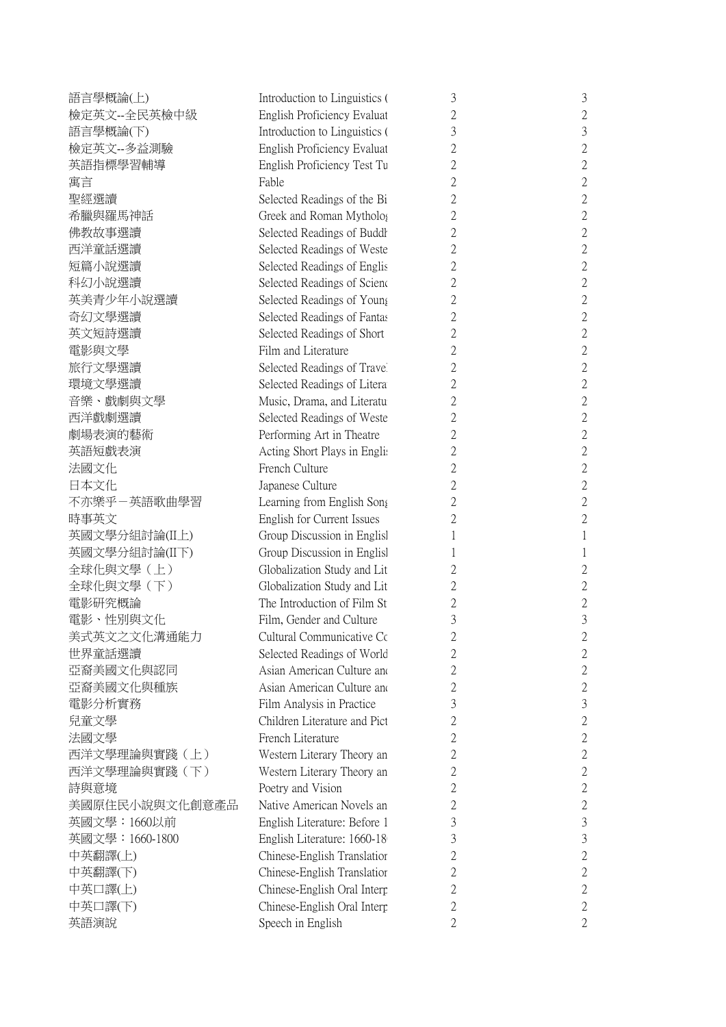| 語言學概論(上)        | Introduction to Linguistics ( | 3              | 3              |
|-----------------|-------------------------------|----------------|----------------|
| 檢定英文--全民英檢中級    | English Proficiency Evaluat   | $\overline{2}$ | $\overline{2}$ |
| 語言學概論(下)        | Introduction to Linguistics ( | 3              | 3              |
| 檢定英文--多益測驗      | English Proficiency Evaluat   | $\overline{2}$ | $\overline{2}$ |
| 英語指標學習輔導        | English Proficiency Test Tu   | $\overline{2}$ | $\overline{2}$ |
| 寓言              | Fable                         | 2              | $\overline{2}$ |
| 聖經選讀            | Selected Readings of the Bi   | $\overline{2}$ | $\overline{2}$ |
| 希臘與羅馬神話         | Greek and Roman Mytholog      | 2              | $\overline{2}$ |
| 佛教故事選讀          | Selected Readings of Buddh    | $\overline{2}$ | $\overline{2}$ |
| 西洋童話選讀          | Selected Readings of Weste    | $\overline{2}$ | $\overline{2}$ |
| 短篇小說選讀          | Selected Readings of Englis   | 2              | $\overline{c}$ |
| 科幻小說選讀          | Selected Readings of Scienc   | $\overline{2}$ | $\overline{2}$ |
| 英美青少年小說選讀       | Selected Readings of Young    | 2              | $\overline{c}$ |
| 奇幻文學選讀          | Selected Readings of Fantas   | $\overline{2}$ | $\overline{2}$ |
| 英文短詩選讀          | Selected Readings of Short    | $\overline{2}$ | $\overline{2}$ |
| 電影與文學           | Film and Literature           | 2              | $\overline{2}$ |
| 旅行文學選讀          | Selected Readings of Travel   | $\overline{2}$ | $\overline{2}$ |
| 環境文學選讀          | Selected Readings of Litera   | $\overline{2}$ | $\overline{2}$ |
| 音樂、戲劇與文學        | Music, Drama, and Literatu    | $\overline{2}$ | $\overline{2}$ |
| 西洋戲劇選讀          | Selected Readings of Weste    | $\overline{2}$ | $\overline{2}$ |
| 劇場表演的藝術         | Performing Art in Theatre     | $\overline{2}$ | $\overline{2}$ |
| 英語短戲表演          | Acting Short Plays in Englis  | $\overline{2}$ | $\overline{2}$ |
| 法國文化            | French Culture                | 2              | $\overline{c}$ |
| 日本文化            | Japanese Culture              | $\overline{2}$ | $\overline{2}$ |
| 不亦樂乎-英語歌曲學習     | Learning from English Song    | $\overline{2}$ | $\overline{2}$ |
| 時事英文            | English for Current Issues    | 2              | $\overline{2}$ |
| 英國文學分組討論(IL上)   | Group Discussion in Englisl   | 1              | 1              |
| 英國文學分組討論(II下)   | Group Discussion in English   | 1              |                |
| 全球化與文學 (上)      | Globalization Study and Lit   | 2              | $\overline{c}$ |
| 全球化與文學 (下)      | Globalization Study and Lit   | 2              | $\overline{c}$ |
| 電影研究概論          | The Introduction of Film St   | $\overline{2}$ | $\overline{2}$ |
| 電影、性別與文化        | Film, Gender and Culture      | 3              | 3              |
| 美式英文之文化溝通能力     | Cultural Communicative Cc     | $\overline{2}$ | C              |
| 世界童話選讀          | Selected Readings of World    | 2              | $\overline{c}$ |
| 亞裔美國文化與認同       | Asian American Culture and    | $\overline{2}$ | $\overline{c}$ |
| 亞裔美國文化與種族       | Asian American Culture and    | 2              | $\overline{2}$ |
| 電影分析實務          | Film Analysis in Practice     | 3              | 3              |
| 兒童文學            | Children Literature and Pict  |                | $\overline{c}$ |
| 法國文學            | French Literature             | 2              |                |
|                 |                               | 2              | $\overline{2}$ |
| 西洋文學理論與實踐(上)    | Western Literary Theory an    | 2              | $\overline{2}$ |
| 西洋文學理論與實踐(下)    | Western Literary Theory an    | 2              | $\overline{c}$ |
| 詩與意境            | Poetry and Vision             | $\overline{2}$ | $\overline{c}$ |
| 美國原住民小說與文化創意產品  | Native American Novels an     | $\overline{2}$ | $\overline{c}$ |
| 英國文學: 1660以前    | English Literature: Before 1  | 3              | 3              |
| 英國文學: 1660-1800 | English Literature: 1660-18   | 3              | 3              |
| 中英翻譯(上)         | Chinese-English Translatior   | 2              | $\overline{2}$ |
| 中英翻譯(下)         | Chinese-English Translatior   | 2              | $\overline{c}$ |
| 中英口譯(上)         | Chinese-English Oral Interp   | $\overline{2}$ | $\overline{c}$ |
| 中英口譯(下)         | Chinese-English Oral Interp   | 2              | $\overline{2}$ |
| 英語演說            | Speech in English             | 2              | 2              |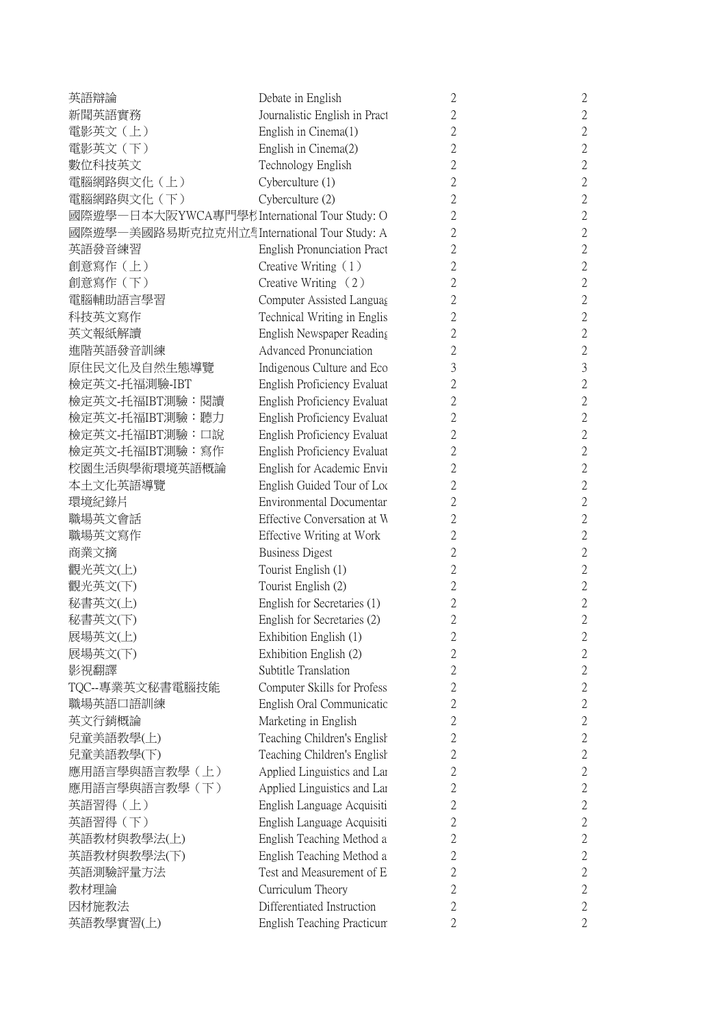| 英語辯論                                         | Debate in English             | $\mathbf{2}$   | $\overline{2}$ |
|----------------------------------------------|-------------------------------|----------------|----------------|
| 新聞英語實務                                       | Journalistic English in Pract | $\overline{2}$ | $\overline{c}$ |
| 電影英文(上)                                      | English in Cinema(1)          | $\mathfrak{2}$ | $\overline{c}$ |
| 電影英文 (下)                                     | English in Cinema(2)          | $\mathfrak{2}$ | $\overline{2}$ |
| 數位科技英文                                       | Technology English            | $\overline{2}$ | $\overline{c}$ |
| 電腦網路與文化(上)                                   | Cyberculture (1)              | $\mathfrak{2}$ | $\overline{2}$ |
| 電腦網路與文化 (下)                                  | Cyberculture (2)              | $\mathfrak{2}$ | $\overline{2}$ |
| 國際遊學一日本大阪YWCA專門學杉International Tour Study: O |                               | $\mathfrak{2}$ | $\overline{2}$ |
| 國際遊學一美國路易斯克拉克州立唱International Tour Study: A  |                               | 2              | $\overline{2}$ |
| 英語發音練習                                       | English Pronunciation Pract   | $\overline{2}$ | $\overline{2}$ |
| 創意寫作 (上)                                     | Creative Writing (1)          | $\mathfrak{2}$ | $\overline{2}$ |
| 創意寫作 (下)                                     | Creative Writing $(2)$        | $\overline{2}$ | $\overline{c}$ |
| 電腦輔助語言學習                                     | Computer Assisted Languag     | $\mathfrak{2}$ | $\overline{c}$ |
| 科技英文寫作                                       | Technical Writing in Englis   | $\mathfrak{2}$ | $\overline{2}$ |
| 英文報紙解讀                                       | English Newspaper Reading     | $\overline{2}$ | $\overline{2}$ |
| 進階英語發音訓練                                     | <b>Advanced Pronunciation</b> | 2              | $\overline{2}$ |
| 原住民文化及自然生態導覽                                 | Indigenous Culture and Eco    | 3              | 3              |
| 檢定英文-托福測驗-IBT                                | English Proficiency Evaluat   | $\mathfrak{2}$ | $\overline{c}$ |
| 檢定英文-托福IBT測驗:閱讀                              | English Proficiency Evaluat   | $\overline{2}$ | $\overline{2}$ |
|                                              |                               |                |                |
| 檢定英文-托福IBT測驗:聽力                              | English Proficiency Evaluat   | $\mathfrak{2}$ | $\overline{2}$ |
| 檢定英文-托福IBT測驗:口說                              | English Proficiency Evaluat   | $\mathfrak{2}$ | $\overline{2}$ |
| 檢定英文-托福IBT測驗:寫作                              | English Proficiency Evaluat   | 2              | $\overline{2}$ |
| 校園生活與學術環境英語概論                                | English for Academic Envir    | 2              | $\overline{c}$ |
| 本土文化英語導覽                                     | English Guided Tour of Loc    | $\mathfrak{2}$ | $\overline{2}$ |
| 環境紀錄片                                        | Environmental Documentar      | $\mathfrak{2}$ | $\overline{c}$ |
| 職場英文會話                                       | Effective Conversation at W   | $\mathfrak{2}$ | $\overline{2}$ |
| 職場英文寫作                                       | Effective Writing at Work     | $\overline{2}$ | $\overline{2}$ |
| 商業文摘                                         | <b>Business Digest</b>        | $\mathfrak{2}$ | $\overline{2}$ |
| 觀光英文(上)                                      | Tourist English (1)           | $\mathfrak{2}$ | $\overline{2}$ |
| 觀光英文(下)                                      | Tourist English (2)           | $\mathfrak{2}$ | $\overline{2}$ |
| 秘書英文(上)                                      | English for Secretaries (1)   | $\overline{2}$ | $\overline{2}$ |
| 秘書英文(下)                                      | English for Secretaries (2)   | 2              | $\overline{c}$ |
| 展場英文(上)                                      | Exhibition English (1)        | $\mathbf{c}$   | $\mathbf{c}$   |
| 展場英文(下)                                      | Exhibition English (2)        | $\sqrt{2}$     | $\overline{2}$ |
| 影視翻譯                                         | Subtitle Translation          | $\mathfrak{2}$ | $\overline{c}$ |
| TQC--專業英文秘書電腦技能                              | Computer Skills for Profess   | $\mathfrak{2}$ | $\overline{2}$ |
| 職場英語口語訓練                                     | English Oral Communicatio     | 2              | $\overline{c}$ |
| 英文行銷概論                                       | Marketing in English          | 2              | $\overline{2}$ |
| 兒童美語教學(上)                                    | Teaching Children's English   | 2              | $\overline{2}$ |
| 兒童美語教學(下)                                    | Teaching Children's English   | 2              | $\overline{c}$ |
| 應用語言學與語言教學(上)                                | Applied Linguistics and Lar   | $\overline{2}$ | $\overline{2}$ |
| 應用語言學與語言教學 (下)                               | Applied Linguistics and Lar   | 2              | $\overline{c}$ |
| 英語習得(上)                                      | English Language Acquisiti    | $\mathfrak{2}$ | $\overline{2}$ |
| 英語習得 (下)                                     | English Language Acquisiti    | 2              | $\overline{c}$ |
| 英語教材與教學法(上)                                  | English Teaching Method a     | 2              | $\mathbf{2}$   |
|                                              |                               |                |                |
| 英語教材與教學法(下)                                  | English Teaching Method a     | 2              | $\overline{2}$ |
| 英語測驗評量方法                                     | Test and Measurement of E     | 2              | $\overline{c}$ |
| 教材理論                                         | Curriculum Theory             | $\overline{2}$ | $\overline{2}$ |
| 因材施教法                                        | Differentiated Instruction    | 2              | $\overline{2}$ |
| 英語教學實習(上)                                    | English Teaching Practicum    | 2              | 2              |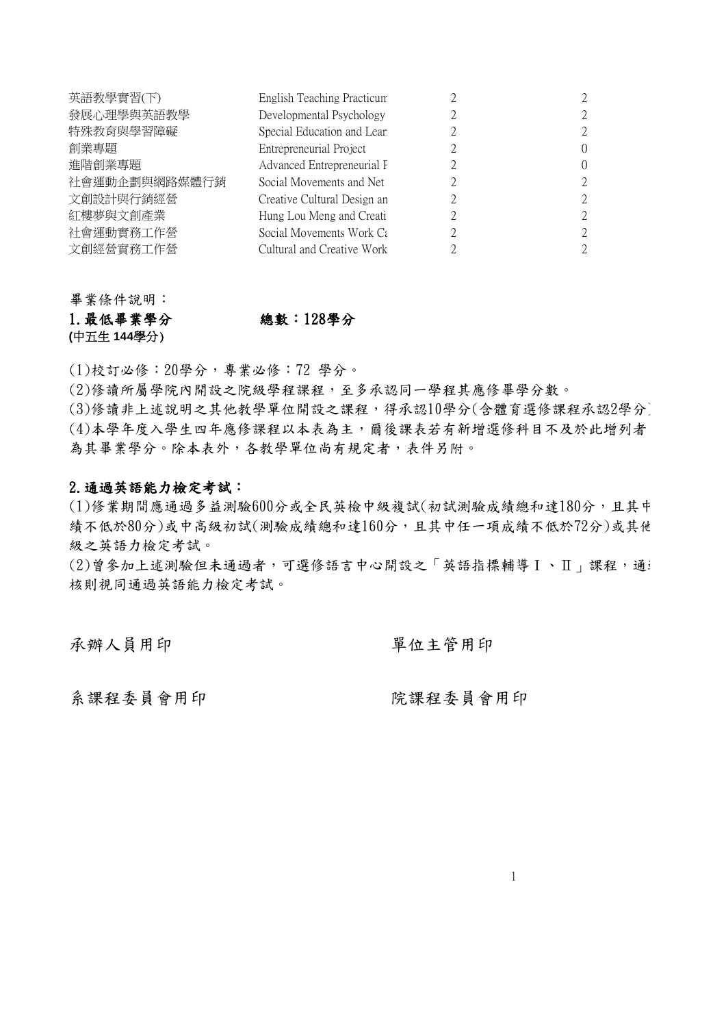| English Teaching Practicum  |                  |
|-----------------------------|------------------|
| Developmental Psychology    | 2                |
| Special Education and Learn | $\mathcal{L}$    |
| Entrepreneurial Project     | $\left( \right)$ |
| Advanced Entrepreneurial F  | $\left( \right)$ |
| Social Movements and Net    | $\mathcal{L}$    |
| Creative Cultural Design an | $\mathcal{L}$    |
| Hung Lou Meng and Creati    | $\mathcal{L}$    |
| Social Movements Work Ca    | $\mathcal{L}$    |
| Cultural and Creative Work  | $\mathcal{L}$    |
|                             |                  |

畢業條件說明: 1.最低畢業學分 總數:128學分 **(**中五生 **144**學分)

(1)校訂必修:20學分,專業必修:72 學分。

(2)修讀所屬學院內開設之院級學程課程,至多承認同一學程其應修畢學分數。

(3)修讀非上述說明之其他教學單位開設之課程,得承認10學分(含體育選修課程承認2學分) (4)本學年度入學生四年應修課程以本表為主,爾後課表若有新增選修科目不及於此增列者 為其畢業學分。除本表外,各教學單位尚有規定者,表件另附。

## 2.通過英語能力檢定考試:

(1)修業期間應通過多益測驗600分或全民英檢中級複試(初試測驗成績總和達180分,且其中 績不低於80分)或中高級初試(測驗成績總和達160分,且其中任一項成績不低於72分)或其他 級之英語力檢定考試。

 $(2)$ 曾參加上述測驗但未通過者,可選修語言中心開設之「英語指標輔導Ⅰ、Ⅱ」課程,通 核則視同通過英語能力檢定考試。

承辦人員用印 單位主管用印

系課程委員會用印 院課程委員會用印

1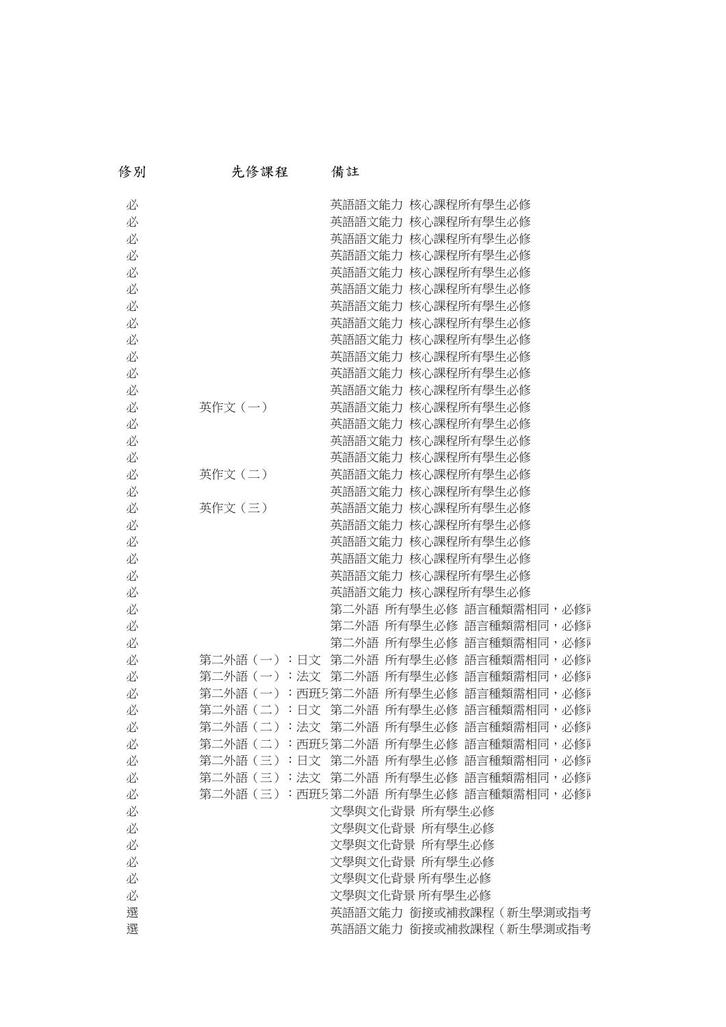| 修別 | 先修課程       | 備註                                 |
|----|------------|------------------------------------|
| 必  |            | 英語語文能力 核心課程所有學生必修                  |
| 必  |            | 英語語文能力 核心課程所有學生必修                  |
| 必  |            | 英語語文能力 核心課程所有學生必修                  |
| 必  |            | 英語語文能力 核心課程所有學生必修                  |
| 必  |            | 英語語文能力 核心課程所有學生必修                  |
| 必  |            | 英語語文能力 核心課程所有學生必修                  |
| 必  |            | 英語語文能力 核心課程所有學生必修                  |
| 必  |            | 英語語文能力 核心課程所有學生必修                  |
| 必  |            | 英語語文能力 核心課程所有學生必修                  |
| 必  |            | 英語語文能力 核心課程所有學生必修                  |
| 必  |            | 英語語文能力 核心課程所有學生必修                  |
| 必  |            | 英語語文能力 核心課程所有學生必修                  |
| 必  | 英作文(一)     | 英語語文能力 核心課程所有學生必修                  |
| 必  |            | 英語語文能力 核心課程所有學生必修                  |
| 必  |            | 英語語文能力 核心課程所有學生必修                  |
| 必  |            | 英語語文能力 核心課程所有學生必修                  |
| 必  | 英作文(二)     | 英語語文能力 核心課程所有學生必修                  |
| 必  |            | 英語語文能力 核心課程所有學生必修                  |
| 必  | 英作文(三)     | 英語語文能力 核心課程所有學生必修                  |
| 必  |            | 英語語文能力 核心課程所有學生必修                  |
| 必  |            | 英語語文能力 核心課程所有學生必修                  |
| 必  |            | 英語語文能力 核心課程所有學生必修                  |
| 必  |            | 英語語文能力 核心課程所有學生必修                  |
| 必  |            | 英語語文能力 核心課程所有學生必修                  |
| 必  |            | 第二外語 所有學生必修 語言種類需相同,必修             |
| 必  |            | 第二外語 所有學生必修 語言種類需相同,必修同            |
| 必  |            | 第二外語 所有學生必修 語言種類需相同,必修同            |
| 必  | 第二外語(一):日文 | 第二外語 所有學生必修 語言種類需相同,必修ī            |
| 必  |            | 第二外語(一):法文 第二外語 所有學生必修 語言種類需相同,必修『 |
| 必  |            | 第二外語(一):西班5第二外語 所有學生必修 語言種類需相同,必修『 |
| 必  |            | 第二外語(二):日文 第二外語 所有學生必修 語言種類需相同,必修『 |
| 必  |            | 第二外語(二):法文 第二外語 所有學生必修 語言種類需相同,必修『 |
| 必  |            | 第二外語(二):西班5第二外語 所有學生必修 語言種類需相同,必修『 |
| 必  |            | 第二外語(三):日文 第二外語 所有學生必修 語言種類需相同,必修『 |
| 必  |            | 第二外語(三):法文 第二外語 所有學生必修 語言種類需相同,必修『 |
| 必  |            | 第二外語(三):西班5第二外語 所有學生必修 語言種類需相同,必修『 |
| 必  |            | 文學與文化背景 所有學生必修                     |
| 必  |            | 文學與文化背景 所有學生必修                     |
| 必  |            | 文學與文化背景 所有學生必修                     |
| 必  |            | 文學與文化背景 所有學生必修                     |
| 必  |            | 文學與文化背景 所有學生必修                     |
| 必  |            | 文學與文化背景 所有學生必修                     |
| 選  |            | 英語語文能力 銜接或補救課程 (新生學測或指考            |
| 選  |            | 英語語文能力 銜接或補救課程 (新生學測或指考            |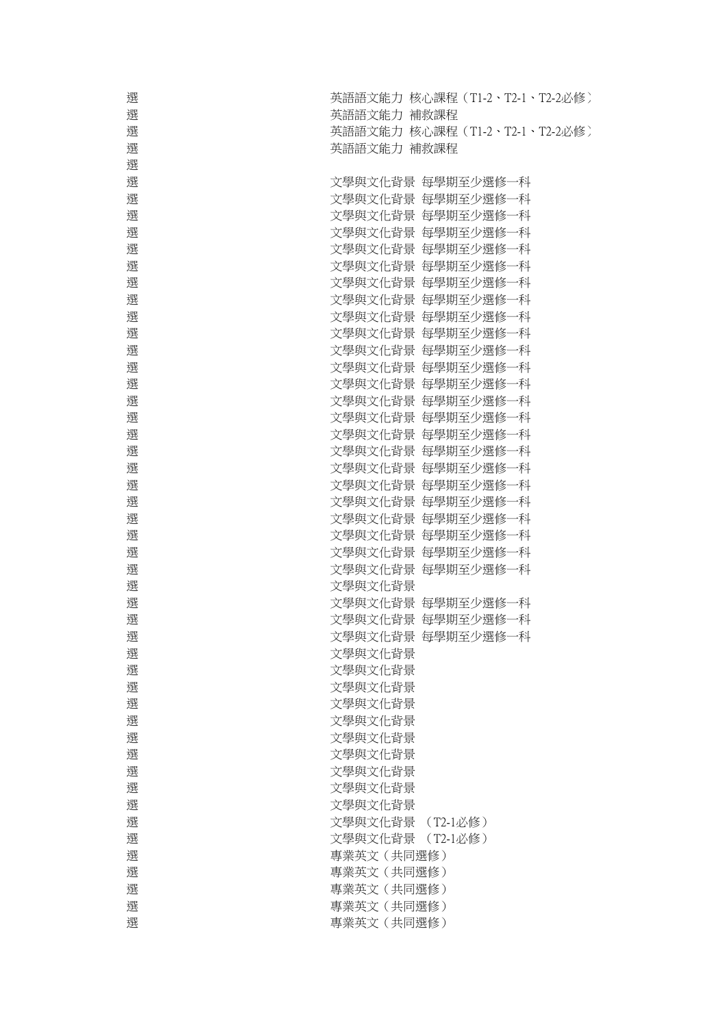| 選 | 英語語文能力 核心課程(T1-2、T2-1、T2-2必修) |
|---|-------------------------------|
| 選 | 英語語文能力 補救課程                   |
| 選 | 英語語文能力 核心課程(T1-2、T2-1、T2-2必修) |
| 選 | 英語語文能力 補救課程                   |
| 選 |                               |
| 選 | 文學與文化背景 每學期至少選修一科             |
| 選 | 文學與文化背景 每學期至少選修一科             |
| 選 | 文學與文化背景 每學期至少選修一科             |
| 選 | 文學與文化背景 每學期至少選修一科             |
| 選 | 文學與文化背景 每學期至少選修一科             |
| 選 | 文學與文化背景 每學期至少選修一科             |
| 選 | 文學與文化背景 每學期至少選修一科             |
| 選 | 文學與文化背景 每學期至少選修一科             |
| 選 | 文學與文化背景 每學期至少選修一科             |
| 選 | 文學與文化背景 每學期至少選修一科             |
| 選 | 文學與文化背景 每學期至少選修一科             |
|   |                               |
| 選 | 文學與文化背景 每學期至少選修一科             |
| 選 | 文學與文化背景 每學期至少選修一科             |
| 選 | 文學與文化背景 每學期至少選修一科             |
| 選 | 文學與文化背景 每學期至少選修一科             |
| 選 | 文學與文化背景 每學期至少選修一科             |
| 選 | 文學與文化背景 每學期至少選修一科             |
| 選 | 文學與文化背景 每學期至少選修一科             |
| 選 | 文學與文化背景 每學期至少選修一科             |
| 選 | 文學與文化背景 每學期至少選修一科             |
| 選 | 文學與文化背景 每學期至少選修一科             |
| 選 | 文學與文化背景 每學期至少選修一科             |
| 選 | 文學與文化背景 每學期至少選修一科             |
| 選 | 文學與文化背景 每學期至少選修一科             |
| 選 | 文學與文化背景                       |
| 選 | 文學與文化背景 每學期至少選修一科             |
| 選 | 文學與文化背景 每學期至少選修一科             |
| 選 | 文學與文化背景 每學期至少選修一科             |
| 選 | 文學與文化背景                       |
| 選 | 文學與文化背景                       |
| 選 | 文學與文化背景                       |
| 選 | 文學與文化背景                       |
| 選 | 文學與文化背景                       |
| 選 | 文學與文化背景                       |
| 選 | 文學與文化背景                       |
| 選 | 文學與文化背景                       |
| 選 | 文學與文化背景                       |
| 選 | 文學與文化背景                       |
| 選 | 文學與文化背景 (T2-1必修)              |
| 選 | 文學與文化背景 (T2-1必修)              |
| 選 | 專業英文 (共同選修)                   |
| 選 | 專業英文 (共同選修)                   |
| 選 | 專業英文 (共同選修)                   |
| 選 | 專業英文 (共同選修)                   |
| 選 | 專業英文 (共同選修)                   |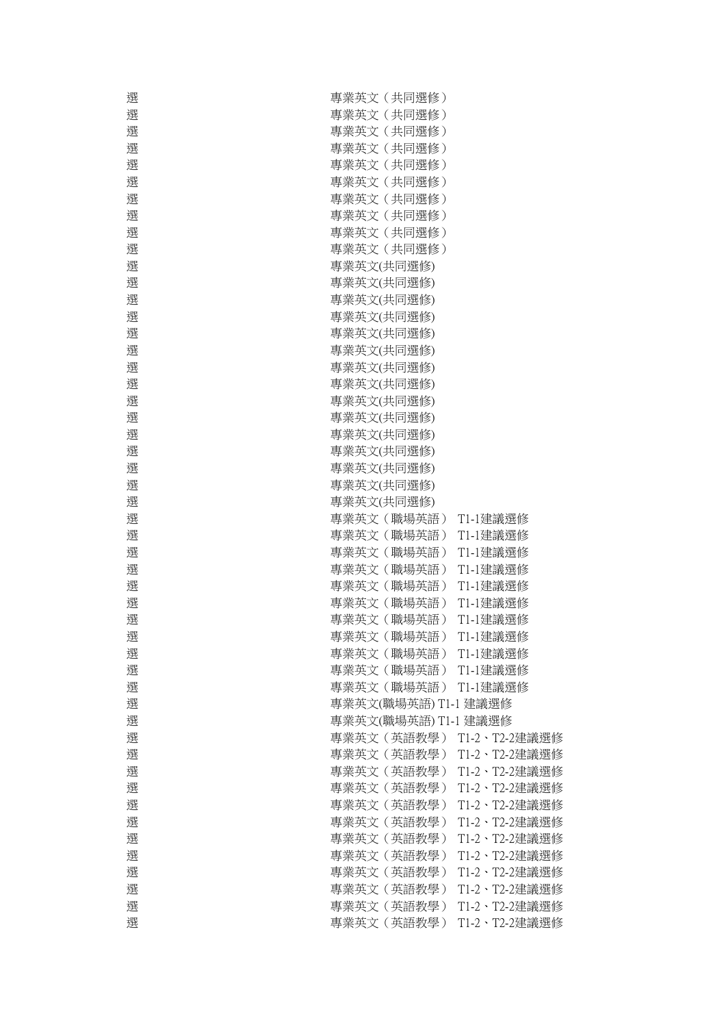| 選 | 專業英文 (共同選修)          |               |
|---|----------------------|---------------|
| 選 | 專業英文 (共同選修)          |               |
| 選 | 專業英文 (共同選修)          |               |
| 選 | 專業英文 (共同選修)          |               |
| 選 | 專業英文 (共同選修)          |               |
| 選 | 專業英文 (共同選修)          |               |
| 選 | 專業英文 (共同選修)          |               |
| 選 | 專業英文 (共同選修)          |               |
| 選 | 專業英文 (共同選修)          |               |
| 選 | 專業英文 (共同選修)          |               |
| 選 | 專業英文(共同選修)           |               |
| 選 | 專業英文(共同選修)           |               |
| 選 | 專業英文(共同選修)           |               |
| 選 | 專業英文(共同選修)           |               |
| 選 | 專業英文(共同選修)           |               |
| 選 | 專業英文(共同選修)           |               |
| 選 | 專業英文(共同選修)           |               |
| 選 | 專業英文(共同選修)           |               |
| 選 | 專業英文(共同選修)           |               |
| 選 | 專業英文(共同選修)           |               |
| 選 | 專業英文(共同選修)           |               |
| 選 | 專業英文(共同選修)           |               |
| 選 | 專業英文(共同選修)           |               |
| 選 | 專業英文(共同選修)           |               |
| 選 | 專業英文(共同選修)           |               |
| 選 | 專業英文 (職場英語)          | T1-1建議選修      |
| 選 | 專業英文 (職場英語)          | T1-1建議選修      |
| 選 | 專業英文 (職場英語)          | T1-1建議選修      |
| 選 | 專業英文 (職場英語)          | T1-1建議選修      |
| 選 | 專業英文 (職場英語)          | T1-1建議選修      |
| 選 | 專業英文(職場英語)           | T1-1建議選修      |
| 選 | 專業英文 (職場英語)          | T1-1建議選修      |
| 選 | 專業英文 (職場英語)          | T1-1建議選修      |
| 選 | 專業英文 (職場英語)          | T1-1建議選修      |
| 選 | 專業英文 (職場英語)          | T1-1建議選修      |
| 選 | 專業英文 (職場英語)          | T1-1建議選修      |
| 選 | 專業英文(職場英語) T1-1 建議選修 |               |
| 選 | 專業英文(職場英語) T1-1 建議選修 |               |
| 選 | 專業英文 (英語教學)          |               |
|   |                      | T1-2、T2-2建議選修 |
| 選 | 專業英文 (英語教學)          | T1-2、T2-2建議選修 |
| 選 | 專業英文 (英語教學)          | T1-2、T2-2建議選修 |
| 選 | 專業英文 (英語教學)          | T1-2、T2-2建議選修 |
| 選 | 專業英文 (英語教學)          | T1-2、T2-2建議選修 |
| 選 | 專業英文 (英語教學)          | T1-2、T2-2建議選修 |
| 選 | 專業英文 (英語教學)          | T1-2、T2-2建議選修 |
| 選 | 專業英文 (英語教學)          | T1-2、T2-2建議選修 |
| 選 | 專業英文 (英語教學)          | T1-2、T2-2建議選修 |
| 選 | 專業英文(英語教學)           | T1-2、T2-2建議選修 |
| 選 | 專業英文 (英語教學)          | T1-2、T2-2建議選修 |
| 選 | 專業英文 (英語教學)          | T1-2、T2-2建議選修 |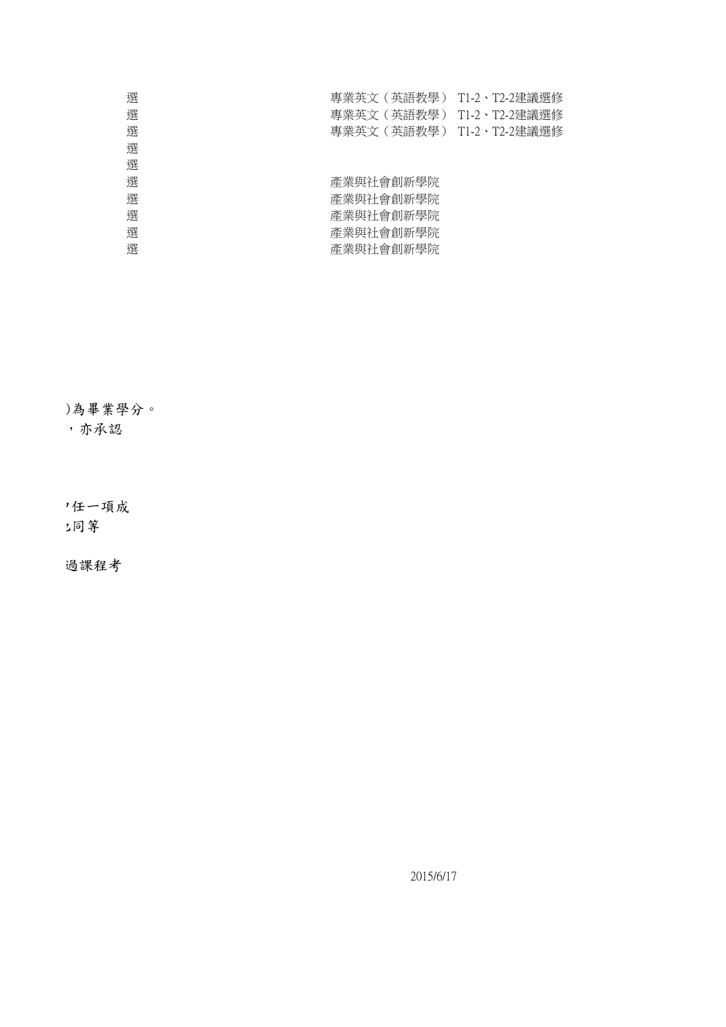| 選 | 專業英文(英語教學) T1-2、T2-2建議選修 |  |
|---|--------------------------|--|
| 選 | 專業英文(英語教學) T1-2、T2-2建議選修 |  |
| 選 | 專業英文(英語教學) T1-2、T2-2建議選修 |  |
| 選 |                          |  |
| 選 |                          |  |
| 選 | 產業與社會創新學院                |  |
| 選 | 產業與社會創新學院                |  |
| 選 | 產業與社會創新學院                |  |
| 選 | 產業與社會創新學院                |  |
| 選 | 產業與社會創新學院                |  |
|   |                          |  |

)為畢業學分。 (4) 木承認

'任一項成 ) 公同等

過課程考

2015/6/17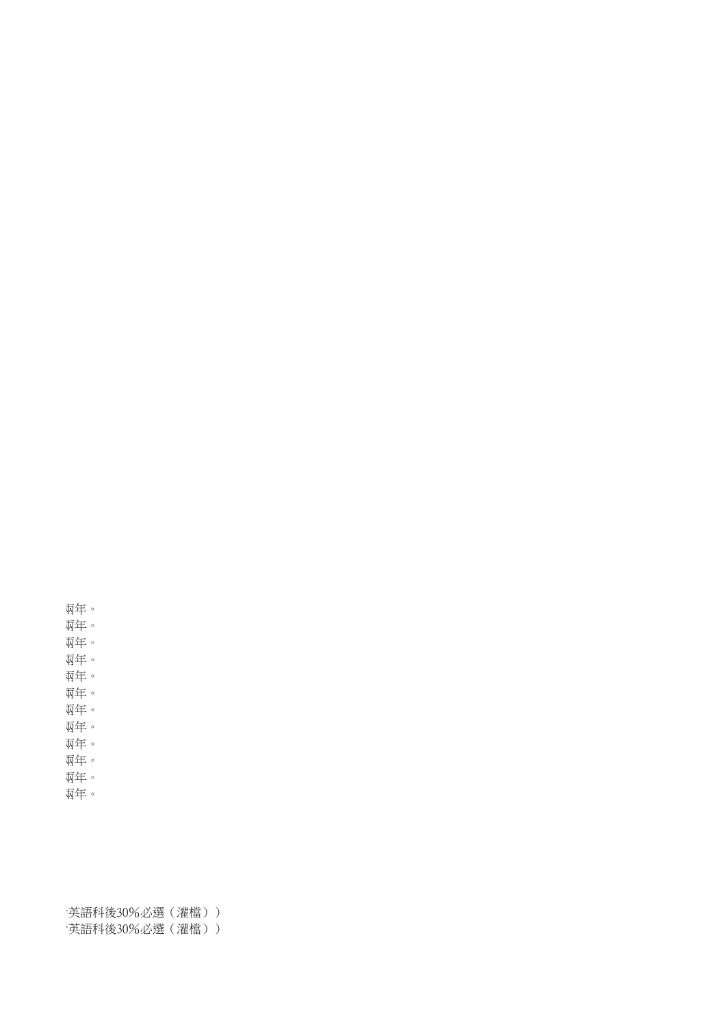英語科後30%必選(灌檔)) 英語科後30%必選(灌檔))

兩年。 兩年。 雨年。 兩年。

兩年。

兩年。

瓦年。

兩年。

兩年。

兩年。

雨年。

兩年。